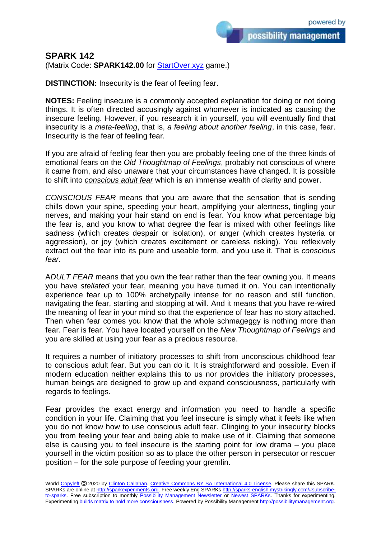possibility management

## **SPARK 142**

(Matrix Code: **SPARK142.00** for **StartOver.xyz** game.)

**DISTINCTION:** Insecurity is the fear of feeling fear.

**NOTES:** Feeling insecure is a commonly accepted explanation for doing or not doing things. It is often directed accusingly against whomever is indicated as causing the insecure feeling. However, if you research it in yourself, you will eventually find that insecurity is a *meta-feeling*, that is, *a feeling about another feeling*, in this case, fear. Insecurity is the fear of feeling fear.

If you are afraid of feeling fear then you are probably feeling one of the three kinds of emotional fears on the *Old Thoughtmap of Feelings*, probably not conscious of where it came from, and also unaware that your circumstances have changed. It is possible to shift into *conscious adult fear* which is an immense wealth of clarity and power.

*CONSCIOUS FEAR* means that you are aware that the sensation that is sending chills down your spine, speeding your heart, amplifying your alertness, tingling your nerves, and making your hair stand on end is fear. You know what percentage big the fear is, and you know to what degree the fear is mixed with other feelings like sadness (which creates despair or isolation), or anger (which creates hysteria or aggression), or joy (which creates excitement or careless risking). You reflexively extract out the fear into its pure and useable form, and you use it. That is *conscious fear*.

A*DULT FEAR* means that you own the fear rather than the fear owning you. It means you have *stellated* your fear, meaning you have turned it on. You can intentionally experience fear up to 100% archetypally intense for no reason and still function, navigating the fear, starting and stopping at will. And it means that you have re-wired the meaning of fear in your mind so that the experience of fear has no story attached. Then when fear comes you know that the whole schmageggy is nothing more than fear. Fear is fear. You have located yourself on the *New Thoughtmap of Feelings* and you are skilled at using your fear as a precious resource.

It requires a number of initiatory processes to shift from unconscious childhood fear to conscious adult fear. But you can do it. It is straightforward and possible. Even if modern education neither explains this to us nor provides the initiatory processes, human beings are designed to grow up and expand consciousness, particularly with regards to feelings.

Fear provides the exact energy and information you need to handle a specific condition in your life. Claiming that you feel insecure is simply what it feels like when you do not know how to use conscious adult fear. Clinging to your insecurity blocks you from feeling your fear and being able to make use of it. Claiming that someone else is causing you to feel insecure is the starting point for low drama – you place yourself in the victim position so as to place the other person in persecutor or rescuer position – for the sole purpose of feeding your gremlin.

World [Copyleft](https://en.wikipedia.org/wiki/Copyleft) <sup>®</sup> 2020 by [Clinton Callahan.](http://clintoncallahan.mystrikingly.com/) [Creative Commons BY SA International 4.0 License.](https://creativecommons.org/licenses/by-sa/4.0/) Please share this SPARK. SPARKs are online at [http://sparkexperiments.org.](http://sparks-english.mystrikingly.com/) Free weekly Eng SPARKs [http://sparks-english.mystrikingly.com/#subscribe](http://sparks-english.mystrikingly.com/#subscribe-to-sparks)[to-sparks.](http://sparks-english.mystrikingly.com/#subscribe-to-sparks) Free subscription to monthly [Possibility Management Newsletter](https://possibilitymanagement.org/news/) or [Newest SPARKs.](https://www.clintoncallahan.org/newsletter-1) Thanks for experimenting. Experimentin[g builds matrix to hold more consciousness.](http://spaceport.mystrikingly.com/) Powered by Possibility Managemen[t http://possibilitymanagement.org.](http://possibilitymanagement.org/)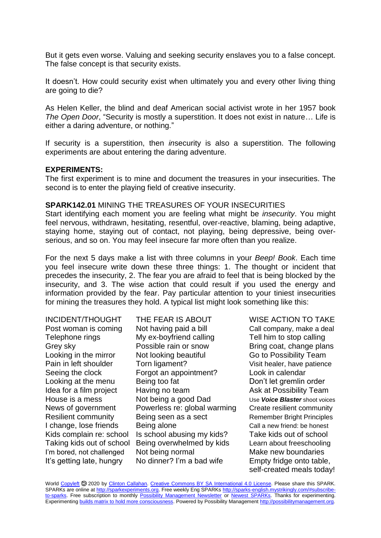But it gets even worse. Valuing and seeking security enslaves you to a false concept. The false concept is that security exists.

It doesn't. How could security exist when ultimately you and every other living thing are going to die?

As Helen Keller, the blind and deaf American social activist wrote in her 1957 book *The Open Door*, "Security is mostly a superstition. It does not exist in nature… Life is either a daring adventure, or nothing."

If security is a superstition, then *in*security is also a superstition. The following experiments are about entering the daring adventure.

## **EXPERIMENTS:**

The first experiment is to mine and document the treasures in your insecurities. The second is to enter the playing field of creative insecurity.

## **SPARK142.01** MINING THE TREASURES OF YOUR INSECURITIES

Start identifying each moment you are feeling what might be *insecurity*. You might feel nervous, withdrawn, hesitating, resentful, over-reactive, blaming, being adaptive, staying home, staying out of contact, not playing, being depressive, being overserious, and so on. You may feel insecure far more often than you realize.

For the next 5 days make a list with three columns in your *Beep! Book*. Each time you feel insecure write down these three things: 1. The thought or incident that precedes the insecurity, 2. The fear you are afraid to feel that is being blocked by the insecurity, and 3. The wise action that could result if you used the energy and information provided by the fear. Pay particular attention to your tiniest insecurities for mining the treasures they hold. A typical list might look something like this:

INCIDENT/THOUGHT THE FEAR IS ABOUT WISE ACTION TO TAKE Post woman is coming Not having paid a bill Call company, make a deal Telephone rings My ex-boyfriend calling Tell him to stop calling Grey sky **Possible rain or snow** Bring coat, change plans Looking in the mirror Not looking beautiful Go to Possibility Team Pain in left shoulder Torn ligament? Visit healer, have patience Seeing the clock Forgot an appointment? Look in calendar Looking at the menu Being too fat **Don't let gremlin order** Idea for a film project Having no team Ask at Possibility Team House is a mess Not being a good Dad Use Voice Blaster shoot voices News of government Powerless re: global warming Create resilient community Resilient community Being seen as a sect Remember Bright Principles I change, lose friends Being alone Call a new friend: be honest Kids complain re: school Is school abusing my kids? Take kids out of school Taking kids out of school Being overwhelmed by kids Learn about freeschooling I'm bored, not challenged Not being normal Make new boundaries

It's getting late, hungry No dinner? I'm a bad wife Empty fridge onto table, self-created meals today!